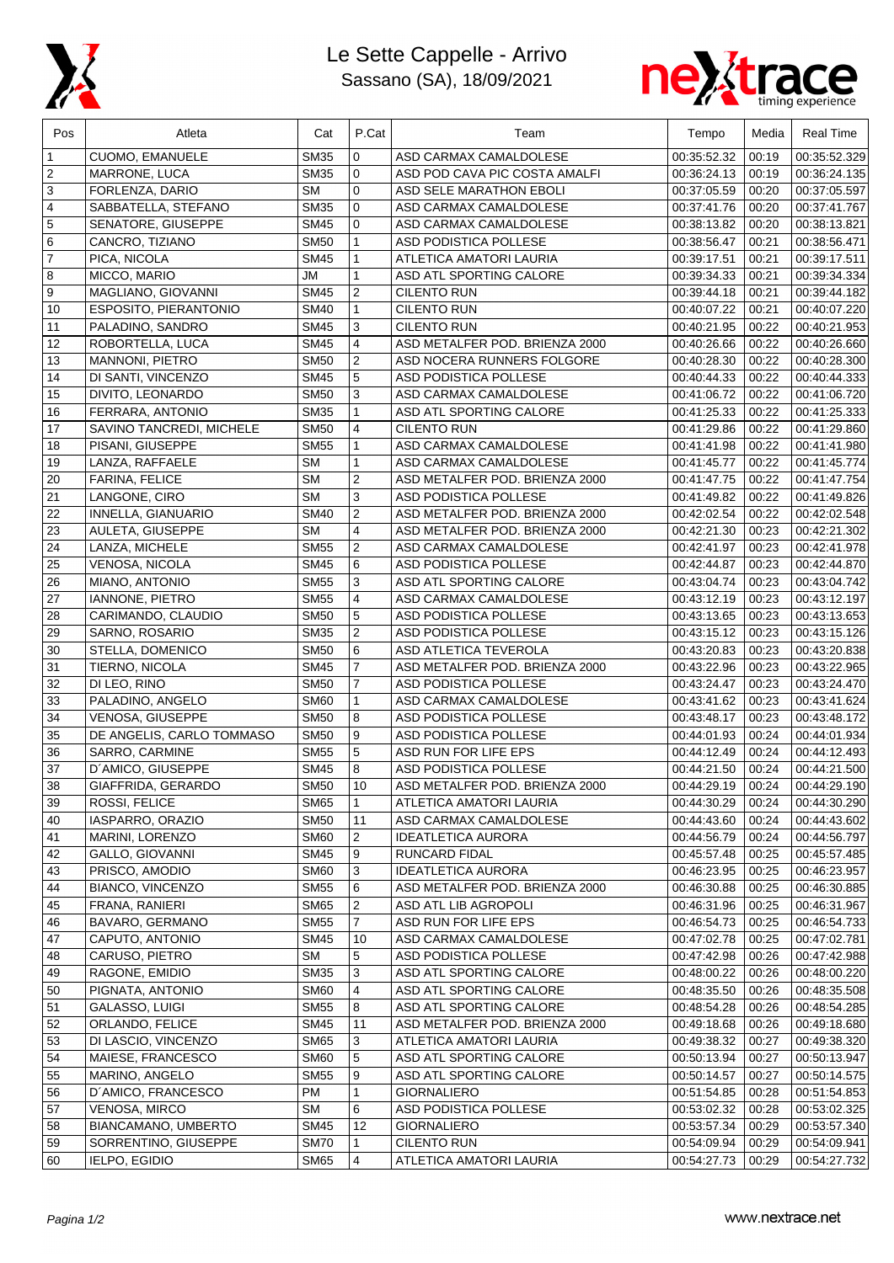

## Le Sette Cappelle - Arrivo Sassano (SA), 18/09/2021



| Pos            | Atleta                    | Cat         | P.Cat          | Team                           | Tempo       | Media | <b>Real Time</b> |
|----------------|---------------------------|-------------|----------------|--------------------------------|-------------|-------|------------------|
| 1              | <b>CUOMO, EMANUELE</b>    | <b>SM35</b> | 0              | ASD CARMAX CAMALDOLESE         | 00:35:52.32 | 00:19 | 00:35:52.329     |
| 2              | MARRONE, LUCA             | <b>SM35</b> | 0              | ASD POD CAVA PIC COSTA AMALFI  | 00:36:24.13 | 00:19 | 00:36:24.135     |
| 3              | FORLENZA, DARIO           | <b>SM</b>   | $\mathbf 0$    | ASD SELE MARATHON EBOLI        | 00:37:05.59 | 00:20 | 00:37:05.597     |
| 4              | SABBATELLA, STEFANO       | SM35        | 0              | ASD CARMAX CAMALDOLESE         | 00:37:41.76 | 00:20 | 00:37:41.767     |
| 5              | SENATORE, GIUSEPPE        | <b>SM45</b> | 0              | ASD CARMAX CAMALDOLESE         | 00:38:13.82 | 00:20 | 00:38:13.821     |
| 6              | CANCRO, TIZIANO           | <b>SM50</b> | $\mathbf{1}$   | <b>ASD PODISTICA POLLESE</b>   | 00:38:56.47 | 00:21 | 00:38:56.471     |
| $\overline{7}$ | PICA, NICOLA              | <b>SM45</b> | 1              | ATLETICA AMATORI LAURIA        | 00:39:17.51 | 00:21 | 00:39:17.511     |
| 8              | MICCO, MARIO              | <b>JM</b>   | $\mathbf{1}$   | ASD ATL SPORTING CALORE        | 00:39:34.33 | 00:21 | 00:39:34.334     |
| 9              | MAGLIANO, GIOVANNI        | <b>SM45</b> | $\overline{2}$ | <b>CILENTO RUN</b>             | 00:39:44.18 | 00:21 | 00:39:44.182     |
| 10             | ESPOSITO, PIERANTONIO     | <b>SM40</b> | $\mathbf{1}$   | CILENTO RUN                    | 00:40:07.22 | 00:21 | 00:40:07.220     |
| 11             | PALADINO, SANDRO          | <b>SM45</b> | 3              | <b>CILENTO RUN</b>             | 00:40:21.95 | 00:22 | 00:40:21.953     |
| 12             | ROBORTELLA, LUCA          | <b>SM45</b> | $\overline{4}$ | ASD METALFER POD. BRIENZA 2000 | 00:40:26.66 | 00:22 | 00:40:26.660     |
| 13             | MANNONI, PIETRO           | <b>SM50</b> | $\overline{c}$ | ASD NOCERA RUNNERS FOLGORE     | 00:40:28.30 | 00:22 | 00:40:28.300     |
| 14             | DI SANTI, VINCENZO        | <b>SM45</b> | 5              | ASD PODISTICA POLLESE          | 00:40:44.33 | 00:22 | 00:40:44.333     |
| 15             | DIVITO, LEONARDO          | <b>SM50</b> | 3              | ASD CARMAX CAMALDOLESE         | 00:41:06.72 | 00:22 | 00:41:06.720     |
| 16             | FERRARA, ANTONIO          | <b>SM35</b> | $\mathbf{1}$   | ASD ATL SPORTING CALORE        | 00:41:25.33 | 00:22 | 00:41:25.333     |
| 17             | SAVINO TANCREDI, MICHELE  | <b>SM50</b> | 4              | <b>CILENTO RUN</b>             | 00:41:29.86 | 00:22 | 00:41:29.860     |
| 18             | PISANI, GIUSEPPE          | <b>SM55</b> | $\mathbf{1}$   | ASD CARMAX CAMALDOLESE         | 00:41:41.98 | 00:22 | 00:41:41.980     |
| 19             | LANZA, RAFFAELE           | <b>SM</b>   | $\mathbf{1}$   | ASD CARMAX CAMALDOLESE         | 00:41:45.77 | 00:22 | 00:41:45.774     |
| 20             | FARINA, FELICE            | <b>SM</b>   | $\overline{2}$ | ASD METALFER POD. BRIENZA 2000 | 00:41:47.75 | 00:22 | 00:41:47.754     |
| 21             | LANGONE, CIRO             | <b>SM</b>   | 3              | ASD PODISTICA POLLESE          | 00:41:49.82 | 00:22 | 00:41:49.826     |
| 22             | INNELLA, GIANUARIO        | <b>SM40</b> | $\overline{2}$ | ASD METALFER POD. BRIENZA 2000 | 00:42:02.54 | 00:22 | 00:42:02.548     |
| 23             | AULETA, GIUSEPPE          | <b>SM</b>   | $\overline{4}$ | ASD METALFER POD. BRIENZA 2000 | 00:42:21.30 | 00:23 | 00:42:21.302     |
| 24             | LANZA, MICHELE            | <b>SM55</b> | $\overline{2}$ | ASD CARMAX CAMALDOLESE         | 00:42:41.97 | 00:23 | 00:42:41.978     |
| 25             | VENOSA, NICOLA            | <b>SM45</b> | 6              | ASD PODISTICA POLLESE          | 00:42:44.87 | 00:23 | 00:42:44.870     |
| 26             | MIANO, ANTONIO            | <b>SM55</b> | 3              | ASD ATL SPORTING CALORE        | 00:43:04.74 | 00:23 | 00:43:04.742     |
| 27             | <b>IANNONE, PIETRO</b>    | <b>SM55</b> | $\overline{4}$ | ASD CARMAX CAMALDOLESE         | 00:43:12.19 | 00:23 | 00:43:12.197     |
| 28             | CARIMANDO, CLAUDIO        | <b>SM50</b> | 5              | ASD PODISTICA POLLESE          | 00:43:13.65 | 00:23 | 00:43:13.653     |
| 29             | SARNO, ROSARIO            | <b>SM35</b> | $\overline{2}$ | ASD PODISTICA POLLESE          | 00:43:15.12 | 00:23 | 00:43:15.126     |
| 30             | STELLA, DOMENICO          | <b>SM50</b> | 6              | ASD ATLETICA TEVEROLA          | 00:43:20.83 | 00:23 | 00:43:20.838     |
| 31             | TIERNO, NICOLA            | <b>SM45</b> | $\overline{7}$ | ASD METALFER POD. BRIENZA 2000 | 00:43:22.96 | 00:23 | 00:43:22.965     |
| 32             | DI LEO, RINO              | <b>SM50</b> | $\overline{7}$ | ASD PODISTICA POLLESE          | 00:43:24.47 | 00:23 | 00:43:24.470     |
| 33             | PALADINO, ANGELO          | <b>SM60</b> | $\mathbf{1}$   | ASD CARMAX CAMALDOLESE         | 00:43:41.62 | 00:23 | 00:43:41.624     |
| 34             | <b>VENOSA, GIUSEPPE</b>   | <b>SM50</b> | 8              | ASD PODISTICA POLLESE          | 00:43:48.17 | 00:23 | 00:43:48.172     |
| 35             | DE ANGELIS, CARLO TOMMASO | <b>SM50</b> | 9              | <b>ASD PODISTICA POLLESE</b>   | 00:44:01.93 | 00:24 | 00:44:01.934     |
| 36             | SARRO, CARMINE            | <b>SM55</b> | 5              | ASD RUN FOR LIFE EPS           | 00:44:12.49 | 00:24 | 00:44:12.493     |
| 37             | D'AMICO, GIUSEPPE         | <b>SM45</b> | 8              | ASD PODISTICA POLLESE          | 00:44:21.50 | 00:24 | 00:44:21.500     |
| 38             | GIAFFRIDA, GERARDO        | <b>SM50</b> | 10             | ASD METALFER POD. BRIENZA 2000 | 00:44:29.19 | 00:24 | 00:44:29.190     |
| 39             | ROSSI, FELICE             | SM65        | -1             | ATLETICA AMATORI LAURIA        | 00:44:30.29 | 00:24 | 00:44:30.290     |
| 40             | IASPARRO, ORAZIO          | <b>SM50</b> | 11             | ASD CARMAX CAMALDOLESE         | 00:44:43.60 | 00:24 | 00:44:43.602     |
| 41             | MARINI, LORENZO           | <b>SM60</b> | 2              | <b>IDEATLETICA AURORA</b>      | 00:44:56.79 | 00:24 | 00:44:56.797     |
| 42             | <b>GALLO, GIOVANNI</b>    | <b>SM45</b> | 9              | RUNCARD FIDAL                  | 00:45:57.48 | 00:25 | 00:45:57.485     |
| 43             | PRISCO, AMODIO            | <b>SM60</b> | 3              | <b>IDEATLETICA AURORA</b>      | 00:46:23.95 | 00:25 | 00:46:23.957     |
| 44             | BIANCO, VINCENZO          | <b>SM55</b> | 6              | ASD METALFER POD. BRIENZA 2000 | 00:46:30.88 | 00:25 | 00:46:30.885     |
| 45             | FRANA, RANIERI            | <b>SM65</b> | 2              | ASD ATL LIB AGROPOLI           | 00:46:31.96 | 00:25 | 00:46:31.967     |
| 46             | BAVARO, GERMANO           | <b>SM55</b> | $\overline{7}$ | ASD RUN FOR LIFE EPS           | 00:46:54.73 | 00:25 | 00:46:54.733     |
| 47             | CAPUTO, ANTONIO           | <b>SM45</b> | 10             | ASD CARMAX CAMALDOLESE         | 00:47:02.78 | 00:25 | 00:47:02.781     |
| 48             | CARUSO, PIETRO            | SM          | 5              | ASD PODISTICA POLLESE          | 00:47:42.98 | 00:26 | 00:47:42.988     |
| 49             | RAGONE, EMIDIO            | <b>SM35</b> | 3              | ASD ATL SPORTING CALORE        | 00:48:00.22 | 00:26 | 00:48:00.220     |
| 50             | PIGNATA, ANTONIO          | <b>SM60</b> | 4              | ASD ATL SPORTING CALORE        | 00:48:35.50 | 00:26 | 00:48:35.508     |
| 51             | GALASSO, LUIGI            | <b>SM55</b> | 8              | ASD ATL SPORTING CALORE        | 00:48:54.28 | 00:26 | 00:48:54.285     |
| 52             | ORLANDO, FELICE           | <b>SM45</b> | 11             | ASD METALFER POD. BRIENZA 2000 | 00:49:18.68 | 00:26 | 00:49:18.680     |
| 53             | DI LASCIO, VINCENZO       | <b>SM65</b> | 3              | ATLETICA AMATORI LAURIA        | 00:49:38.32 | 00:27 | 00:49:38.320     |
| 54             | MAIESE, FRANCESCO         | <b>SM60</b> | 5              | ASD ATL SPORTING CALORE        | 00:50:13.94 | 00:27 | 00:50:13.947     |
| 55             | MARINO, ANGELO            | <b>SM55</b> | 9              | ASD ATL SPORTING CALORE        | 00:50:14.57 | 00:27 | 00:50:14.575     |
| 56             | D'AMICO, FRANCESCO        | <b>PM</b>   | 1              | <b>GIORNALIERO</b>             | 00:51:54.85 | 00:28 | 00:51:54.853     |
| 57             | <b>VENOSA, MIRCO</b>      | SM          | 6              | ASD PODISTICA POLLESE          | 00:53:02.32 | 00:28 | 00:53:02.325     |
| 58             | BIANCAMANO, UMBERTO       | <b>SM45</b> | 12             | <b>GIORNALIERO</b>             | 00:53:57.34 | 00:29 | 00:53:57.340     |
| 59             | SORRENTINO, GIUSEPPE      | <b>SM70</b> | 1              | <b>CILENTO RUN</b>             | 00:54:09.94 | 00:29 | 00:54:09.941     |
| 60             | IELPO, EGIDIO             | <b>SM65</b> | 4              | ATLETICA AMATORI LAURIA        | 00:54:27.73 | 00:29 | 00:54:27.732     |